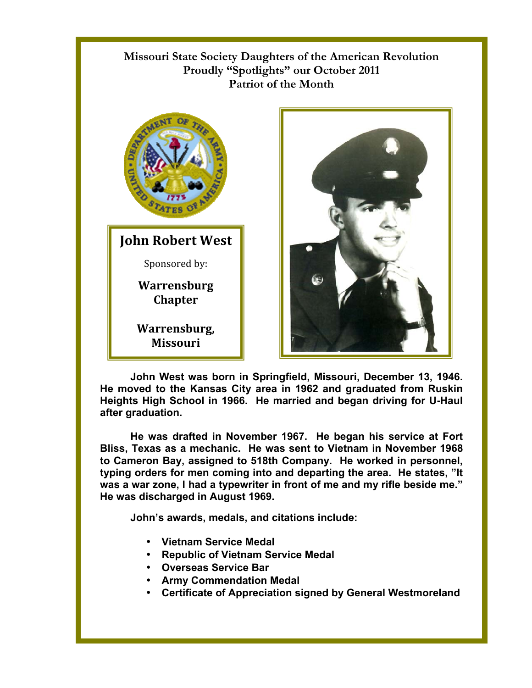## **Missouri State Society Daughters of the American Revolution Proudly "Spotlights" our October 2011 Patriot of the Month**



**John Robert West** Sponsored by:

> **Warrensburg Chapter**

**Warrensburg, Missouri** 



**John West was born in Springfield, Missouri, December 13, 1946. He moved to the Kansas City area in 1962 and graduated from Ruskin Heights High School in 1966. He married and began driving for U-Haul after graduation.** 

**He was drafted in November 1967. He began his service at Fort Bliss, Texas as a mechanic. He was sent to Vietnam in November 1968 to Cameron Bay, assigned to 518th Company. He worked in personnel, typing orders for men coming into and departing the area. He states, "It was a war zone, I had a typewriter in front of me and my rifle beside me." He was discharged in August 1969.** 

**John's awards, medals, and citations include:** 

- **Vietnam Service Medal**
- **Republic of Vietnam Service Medal**
- **Overseas Service Bar**
- **Army Commendation Medal**
- **Certificate of Appreciation signed by General Westmoreland**